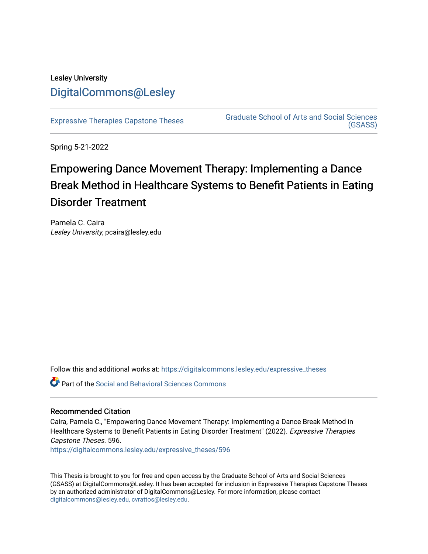## Lesley University [DigitalCommons@Lesley](https://digitalcommons.lesley.edu/)

[Expressive Therapies Capstone Theses](https://digitalcommons.lesley.edu/expressive_theses) Graduate School of Arts and Social Sciences [\(GSASS\)](https://digitalcommons.lesley.edu/gsass) 

Spring 5-21-2022

# Empowering Dance Movement Therapy: Implementing a Dance Break Method in Healthcare Systems to Benefit Patients in Eating Disorder Treatment

Pamela C. Caira Lesley University, pcaira@lesley.edu

Follow this and additional works at: [https://digitalcommons.lesley.edu/expressive\\_theses](https://digitalcommons.lesley.edu/expressive_theses?utm_source=digitalcommons.lesley.edu%2Fexpressive_theses%2F596&utm_medium=PDF&utm_campaign=PDFCoverPages)

**C** Part of the Social and Behavioral Sciences Commons

#### Recommended Citation

Caira, Pamela C., "Empowering Dance Movement Therapy: Implementing a Dance Break Method in Healthcare Systems to Benefit Patients in Eating Disorder Treatment" (2022). Expressive Therapies Capstone Theses. 596.

[https://digitalcommons.lesley.edu/expressive\\_theses/596](https://digitalcommons.lesley.edu/expressive_theses/596?utm_source=digitalcommons.lesley.edu%2Fexpressive_theses%2F596&utm_medium=PDF&utm_campaign=PDFCoverPages)

This Thesis is brought to you for free and open access by the Graduate School of Arts and Social Sciences (GSASS) at DigitalCommons@Lesley. It has been accepted for inclusion in Expressive Therapies Capstone Theses by an authorized administrator of DigitalCommons@Lesley. For more information, please contact [digitalcommons@lesley.edu, cvrattos@lesley.edu](mailto:digitalcommons@lesley.edu,%20cvrattos@lesley.edu).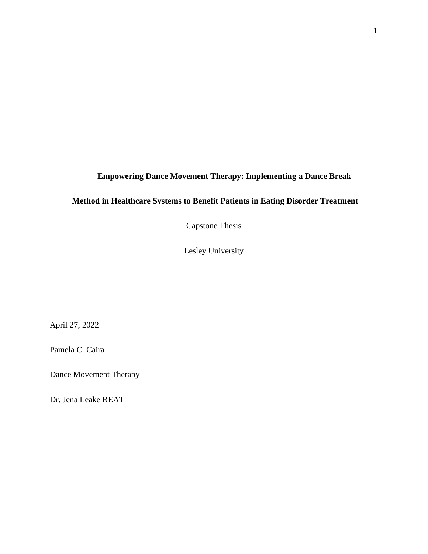### **Empowering Dance Movement Therapy: Implementing a Dance Break**

### **Method in Healthcare Systems to Benefit Patients in Eating Disorder Treatment**

Capstone Thesis

Lesley University

April 27, 2022

Pamela C. Caira

Dance Movement Therapy

Dr. Jena Leake REAT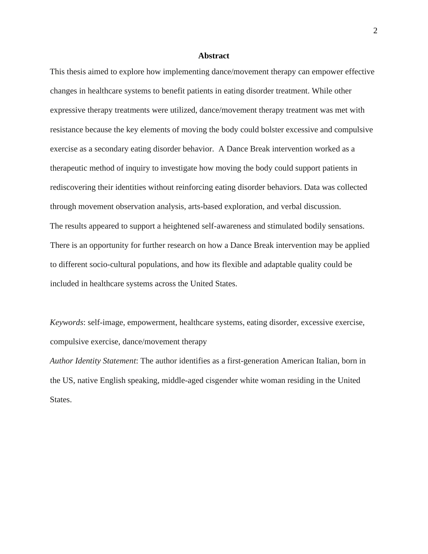#### **Abstract**

This thesis aimed to explore how implementing dance/movement therapy can empower effective changes in healthcare systems to benefit patients in eating disorder treatment. While other expressive therapy treatments were utilized, dance/movement therapy treatment was met with resistance because the key elements of moving the body could bolster excessive and compulsive exercise as a secondary eating disorder behavior. A Dance Break intervention worked as a therapeutic method of inquiry to investigate how moving the body could support patients in rediscovering their identities without reinforcing eating disorder behaviors. Data was collected through movement observation analysis, arts-based exploration, and verbal discussion. The results appeared to support a heightened self-awareness and stimulated bodily sensations. There is an opportunity for further research on how a Dance Break intervention may be applied to different socio-cultural populations, and how its flexible and adaptable quality could be included in healthcare systems across the United States.

*Keywords*: self-image, empowerment, healthcare systems, eating disorder, excessive exercise, compulsive exercise, dance/movement therapy

*Author Identity Statement*: The author identifies as a first-generation American Italian, born in the US, native English speaking, middle-aged cisgender white woman residing in the United States.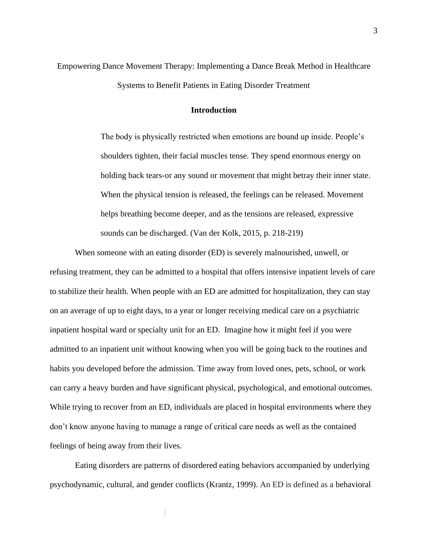Empowering Dance Movement Therapy: Implementing a Dance Break Method in Healthcare Systems to Benefit Patients in Eating Disorder Treatment

#### **Introduction**

The body is physically restricted when emotions are bound up inside. People's shoulders tighten, their facial muscles tense. They spend enormous energy on holding back tears-or any sound or movement that might betray their inner state. When the physical tension is released, the feelings can be released. Movement helps breathing become deeper, and as the tensions are released, expressive sounds can be discharged. (Van der Kolk, 2015, p. 218-219)

When someone with an eating disorder (ED) is severely malnourished, unwell, or refusing treatment, they can be admitted to a hospital that offers intensive inpatient levels of care to stabilize their health. When people with an ED are admitted for hospitalization, they can stay on an average of up to eight days, to a year or longer receiving medical care on a psychiatric inpatient hospital ward or specialty unit for an ED. Imagine how it might feel if you were admitted to an inpatient unit without knowing when you will be going back to the routines and habits you developed before the admission. Time away from loved ones, pets, school, or work can carry a heavy burden and have significant physical, psychological, and emotional outcomes. While trying to recover from an ED, individuals are placed in hospital environments where they don't know anyone having to manage a range of critical care needs as well as the contained feelings of being away from their lives.

Eating disorders are patterns of disordered eating behaviors accompanied by underlying psychodynamic, cultural, and gender conflicts (Krantz, 1999). An ED is defined as a behavioral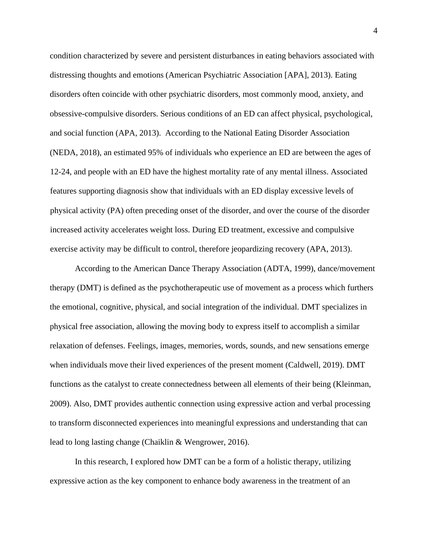condition characterized by severe and persistent disturbances in eating behaviors associated with distressing thoughts and emotions (American Psychiatric Association [APA], 2013). Eating disorders often coincide with other psychiatric disorders, most commonly mood, anxiety, and obsessive-compulsive disorders. Serious conditions of an ED can affect physical, psychological, and social function (APA, 2013). According to the National Eating Disorder Association (NEDA, 2018), an estimated 95% of individuals who experience an ED are between the ages of 12-24, and people with an ED have the highest mortality rate of any mental illness. Associated features supporting diagnosis show that individuals with an ED display excessive levels of physical activity (PA) often preceding onset of the disorder, and over the course of the disorder increased activity accelerates weight loss. During ED treatment, excessive and compulsive exercise activity may be difficult to control, therefore jeopardizing recovery (APA, 2013).

According to the American Dance Therapy Association (ADTA, 1999), dance/movement therapy (DMT) is defined as the psychotherapeutic use of movement as a process which furthers the emotional, cognitive, physical, and social integration of the individual. DMT specializes in physical free association, allowing the moving body to express itself to accomplish a similar relaxation of defenses. Feelings, images, memories, words, sounds, and new sensations emerge when individuals move their lived experiences of the present moment (Caldwell, 2019). DMT functions as the catalyst to create connectedness between all elements of their being (Kleinman, 2009). Also, DMT provides authentic connection using expressive action and verbal processing to transform disconnected experiences into meaningful expressions and understanding that can lead to long lasting change (Chaiklin & Wengrower, 2016).

In this research, I explored how DMT can be a form of a holistic therapy, utilizing expressive action as the key component to enhance body awareness in the treatment of an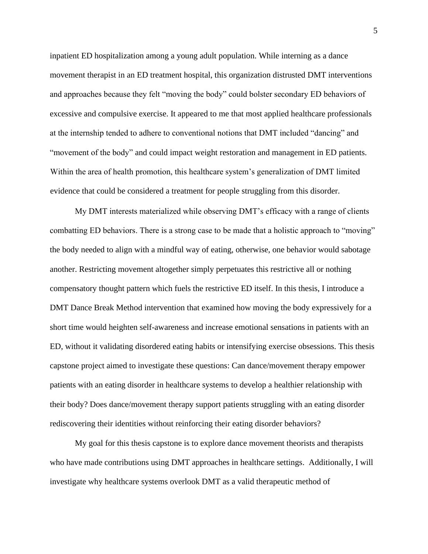inpatient ED hospitalization among a young adult population. While interning as a dance movement therapist in an ED treatment hospital, this organization distrusted DMT interventions and approaches because they felt "moving the body" could bolster secondary ED behaviors of excessive and compulsive exercise. It appeared to me that most applied healthcare professionals at the internship tended to adhere to conventional notions that DMT included "dancing" and "movement of the body" and could impact weight restoration and management in ED patients. Within the area of health promotion, this healthcare system's generalization of DMT limited evidence that could be considered a treatment for people struggling from this disorder.

My DMT interests materialized while observing DMT's efficacy with a range of clients combatting ED behaviors. There is a strong case to be made that a holistic approach to "moving" the body needed to align with a mindful way of eating, otherwise, one behavior would sabotage another. Restricting movement altogether simply perpetuates this restrictive all or nothing compensatory thought pattern which fuels the restrictive ED itself. In this thesis, I introduce a DMT Dance Break Method intervention that examined how moving the body expressively for a short time would heighten self-awareness and increase emotional sensations in patients with an ED, without it validating disordered eating habits or intensifying exercise obsessions. This thesis capstone project aimed to investigate these questions: Can dance/movement therapy empower patients with an eating disorder in healthcare systems to develop a healthier relationship with their body? Does dance/movement therapy support patients struggling with an eating disorder rediscovering their identities without reinforcing their eating disorder behaviors?

My goal for this thesis capstone is to explore dance movement theorists and therapists who have made contributions using DMT approaches in healthcare settings. Additionally, I will investigate why healthcare systems overlook DMT as a valid therapeutic method of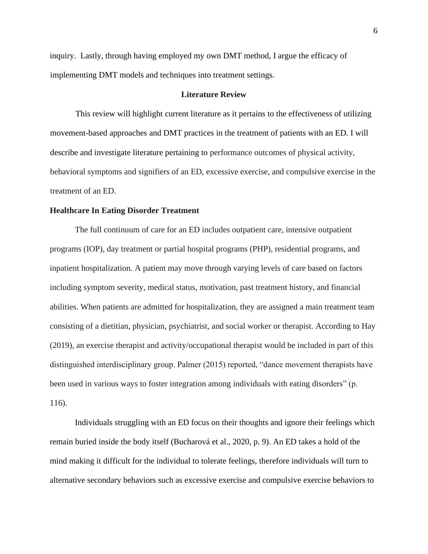inquiry. Lastly, through having employed my own DMT method, I argue the efficacy of implementing DMT models and techniques into treatment settings.

#### **Literature Review**

 This review will highlight current literature as it pertains to the effectiveness of utilizing movement-based approaches and DMT practices in the treatment of patients with an ED. I will describe and investigate literature pertaining to performance outcomes of physical activity, behavioral symptoms and signifiers of an ED, excessive exercise, and compulsive exercise in the treatment of an ED.

#### **Healthcare In Eating Disorder Treatment**

The full continuum of care for an ED includes outpatient care, intensive outpatient programs (IOP), day treatment or partial hospital programs (PHP), residential programs, and inpatient hospitalization. A patient may move through varying levels of care based on factors including symptom severity, medical status, motivation, past treatment history, and financial abilities. When patients are admitted for hospitalization, they are assigned a main treatment team consisting of a dietitian, physician, psychiatrist, and social worker or therapist. According to Hay (2019), an exercise therapist and activity/occupational therapist would be included in part of this distinguished interdisciplinary group. Palmer (2015) reported, "dance movement therapists have been used in various ways to foster integration among individuals with eating disorders" (p. 116).

Individuals struggling with an ED focus on their thoughts and ignore their feelings which remain buried inside the body itself (Bucharová et al., 2020, p. 9). An ED takes a hold of the mind making it difficult for the individual to tolerate feelings, therefore individuals will turn to alternative secondary behaviors such as excessive exercise and compulsive exercise behaviors to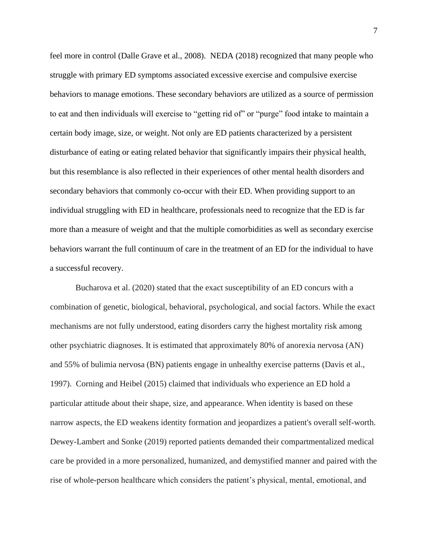feel more in control (Dalle Grave et al., 2008). NEDA (2018) recognized that many people who struggle with primary ED symptoms associated excessive exercise and compulsive exercise behaviors to manage emotions. These secondary behaviors are utilized as a source of permission to eat and then individuals will exercise to "getting rid of" or "purge" food intake to maintain a certain body image, size, or weight. Not only are ED patients characterized by a persistent disturbance of eating or eating related behavior that significantly impairs their physical health, but this resemblance is also reflected in their experiences of other mental health disorders and secondary behaviors that commonly co-occur with their ED. When providing support to an individual struggling with ED in healthcare, professionals need to recognize that the ED is far more than a measure of weight and that the multiple comorbidities as well as secondary exercise behaviors warrant the full continuum of care in the treatment of an ED for the individual to have a successful recovery.

Bucharova et al. (2020) stated that the exact susceptibility of an ED concurs with a combination of genetic, biological, behavioral, psychological, and social factors. While the exact mechanisms are not fully understood, eating disorders carry the highest mortality risk among other psychiatric diagnoses. It is estimated that approximately 80% of anorexia nervosa (AN) and 55% of bulimia nervosa (BN) patients engage in unhealthy exercise patterns (Davis et al., 1997). Corning and Heibel (2015) claimed that individuals who experience an ED hold a particular attitude about their shape, size, and appearance. When identity is based on these narrow aspects, the ED weakens identity formation and jeopardizes a patient's overall self-worth. Dewey-Lambert and Sonke (2019) reported patients demanded their compartmentalized medical care be provided in a more personalized, humanized, and demystified manner and paired with the rise of whole-person healthcare which considers the patient's physical, mental, emotional, and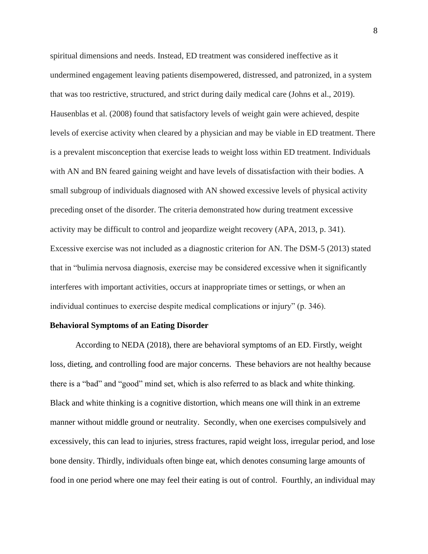spiritual dimensions and needs. Instead, ED treatment was considered ineffective as it undermined engagement leaving patients disempowered, distressed, and patronized, in a system that was too restrictive, structured, and strict during daily medical care (Johns et al., 2019). Hausenblas et al. (2008) found that satisfactory levels of weight gain were achieved, despite levels of exercise activity when cleared by a physician and may be viable in ED treatment. There is a prevalent misconception that exercise leads to weight loss within ED treatment. Individuals with AN and BN feared gaining weight and have levels of dissatisfaction with their bodies. A small subgroup of individuals diagnosed with AN showed excessive levels of physical activity preceding onset of the disorder. The criteria demonstrated how during treatment excessive activity may be difficult to control and jeopardize weight recovery (APA, 2013, p. 341). Excessive exercise was not included as a diagnostic criterion for AN. The DSM-5 (2013) stated that in "bulimia nervosa diagnosis, exercise may be considered excessive when it significantly interferes with important activities, occurs at inappropriate times or settings, or when an individual continues to exercise despite medical complications or injury" (p. 346).

#### **Behavioral Symptoms of an Eating Disorder**

According to NEDA (2018), there are behavioral symptoms of an ED. Firstly, weight loss, dieting, and controlling food are major concerns. These behaviors are not healthy because there is a "bad" and "good" mind set, which is also referred to as black and white thinking. Black and white thinking is a cognitive distortion, which means one will think in an extreme manner without middle ground or neutrality. Secondly, when one exercises compulsively and excessively, this can lead to injuries, stress fractures, rapid weight loss, irregular period, and lose bone density. Thirdly, individuals often binge eat, which denotes consuming large amounts of food in one period where one may feel their eating is out of control. Fourthly, an individual may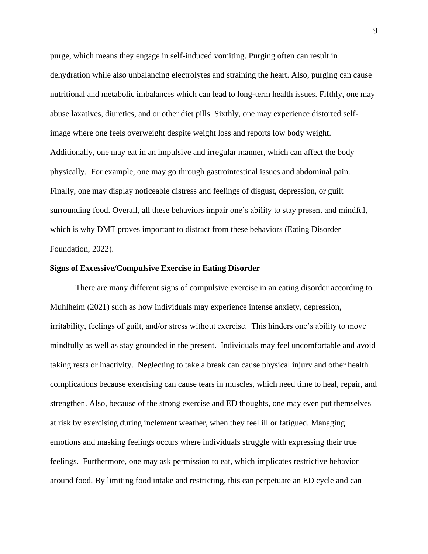purge, which means they engage in self-induced vomiting. Purging often can result in dehydration while also unbalancing electrolytes and straining the heart. Also, purging can cause nutritional and metabolic imbalances which can lead to long-term health issues. Fifthly, one may abuse laxatives, diuretics, and or other diet pills. Sixthly, one may experience distorted selfimage where one feels overweight despite weight loss and reports low body weight. Additionally, one may eat in an impulsive and irregular manner, which can affect the body physically. For example, one may go through gastrointestinal issues and abdominal pain. Finally, one may display noticeable distress and feelings of disgust, depression, or guilt surrounding food. Overall, all these behaviors impair one's ability to stay present and mindful, which is why DMT proves important to distract from these behaviors (Eating Disorder Foundation, 2022).

#### **Signs of Excessive/Compulsive Exercise in Eating Disorder**

There are many different signs of compulsive exercise in an eating disorder according to Muhlheim (2021) such as how individuals may experience intense anxiety, depression, irritability, feelings of guilt, and/or stress without exercise. This hinders one's ability to move mindfully as well as stay grounded in the present. Individuals may feel uncomfortable and avoid taking rests or inactivity. Neglecting to take a break can cause physical injury and other health complications because exercising can cause tears in muscles, which need time to heal, repair, and strengthen. Also, because of the strong exercise and ED thoughts, one may even put themselves at risk by exercising during inclement weather, when they feel ill or fatigued. Managing emotions and masking feelings occurs where individuals struggle with expressing their true feelings. Furthermore, one may ask permission to eat, which implicates restrictive behavior around food. By limiting food intake and restricting, this can perpetuate an ED cycle and can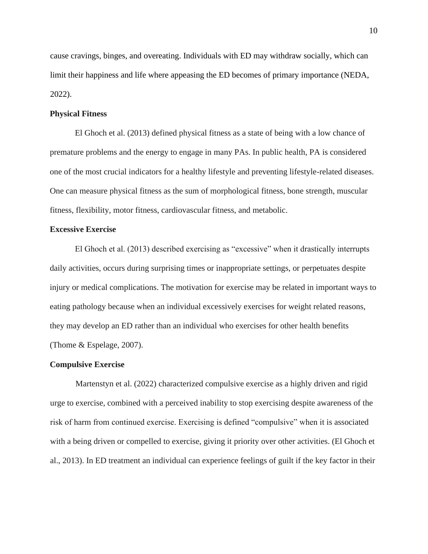cause cravings, binges, and overeating. Individuals with ED may withdraw socially, which can limit their happiness and life where appeasing the ED becomes of primary importance (NEDA, 2022).

#### **Physical Fitness**

El Ghoch et al. (2013) defined physical fitness as a state of being with a low chance of premature problems and the energy to engage in many PAs. In public health, PA is considered one of the most crucial indicators for a healthy lifestyle and preventing lifestyle-related diseases. One can measure physical fitness as the sum of morphological fitness, bone strength, muscular fitness, flexibility, motor fitness, cardiovascular fitness, and metabolic.

#### **Excessive Exercise**

El Ghoch et al. (2013) described exercising as "excessive" when it drastically interrupts daily activities, occurs during surprising times or inappropriate settings, or perpetuates despite injury or medical complications. The motivation for exercise may be related in important ways to eating pathology because when an individual excessively exercises for weight related reasons, they may develop an ED rather than an individual who exercises for other health benefits (Thome & Espelage, 2007).

#### **Compulsive Exercise**

Martenstyn et al. (2022) characterized compulsive exercise as a highly driven and rigid urge to exercise, combined with a perceived inability to stop exercising despite awareness of the risk of harm from continued exercise. Exercising is defined "compulsive" when it is associated with a being driven or compelled to exercise, giving it priority over other activities. (El Ghoch et al., 2013). In ED treatment an individual can experience feelings of guilt if the key factor in their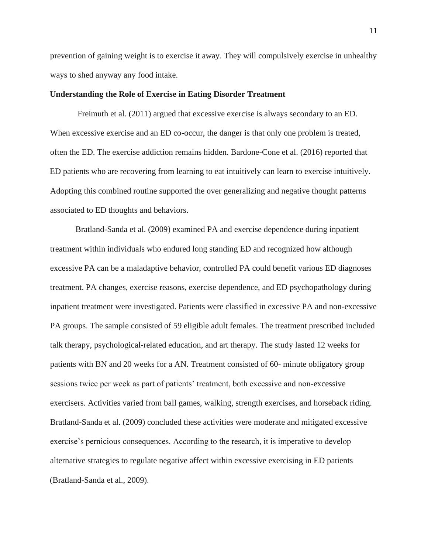prevention of gaining weight is to exercise it away. They will compulsively exercise in unhealthy ways to shed anyway any food intake.

#### **Understanding the Role of Exercise in Eating Disorder Treatment**

Freimuth et al. (2011) argued that excessive exercise is always secondary to an ED. When excessive exercise and an ED co-occur, the danger is that only one problem is treated, often the ED. The exercise addiction remains hidden. Bardone-Cone et al. (2016) reported that ED patients who are recovering from learning to eat intuitively can learn to exercise intuitively. Adopting this combined routine supported the over generalizing and negative thought patterns associated to ED thoughts and behaviors.

Bratland-Sanda et al. (2009) examined PA and exercise dependence during inpatient treatment within individuals who endured long standing ED and recognized how although excessive PA can be a maladaptive behavior, controlled PA could benefit various ED diagnoses treatment. PA changes, exercise reasons, exercise dependence, and ED psychopathology during inpatient treatment were investigated. Patients were classified in excessive PA and non-excessive PA groups. The sample consisted of 59 eligible adult females. The treatment prescribed included talk therapy, psychological-related education, and art therapy. The study lasted 12 weeks for patients with BN and 20 weeks for a AN. Treatment consisted of 60- minute obligatory group sessions twice per week as part of patients' treatment, both excessive and non-excessive exercisers. Activities varied from ball games, walking, strength exercises, and horseback riding. Bratland-Sanda et al. (2009) concluded these activities were moderate and mitigated excessive exercise's pernicious consequences. According to the research, it is imperative to develop alternative strategies to regulate negative affect within excessive exercising in ED patients (Bratland-Sanda et al., 2009).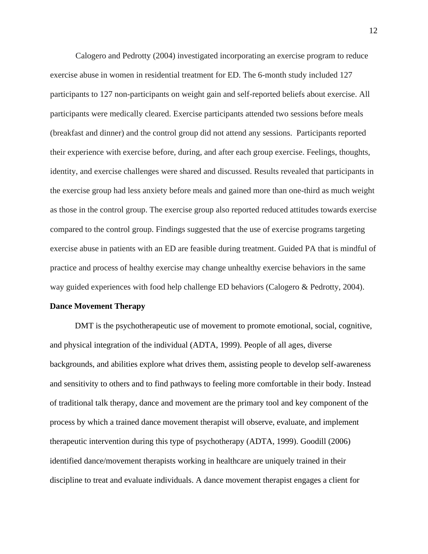Calogero and Pedrotty (2004) investigated incorporating an exercise program to reduce exercise abuse in women in residential treatment for ED. The 6-month study included 127 participants to 127 non-participants on weight gain and self-reported beliefs about exercise. All participants were medically cleared. Exercise participants attended two sessions before meals (breakfast and dinner) and the control group did not attend any sessions. Participants reported their experience with exercise before, during, and after each group exercise. Feelings, thoughts, identity, and exercise challenges were shared and discussed. Results revealed that participants in the exercise group had less anxiety before meals and gained more than one-third as much weight as those in the control group. The exercise group also reported reduced attitudes towards exercise compared to the control group. Findings suggested that the use of exercise programs targeting exercise abuse in patients with an ED are feasible during treatment. Guided PA that is mindful of practice and process of healthy exercise may change unhealthy exercise behaviors in the same way guided experiences with food help challenge ED behaviors (Calogero & Pedrotty, 2004).

#### **Dance Movement Therapy**

DMT is the psychotherapeutic use of movement to promote emotional, social, cognitive, and physical integration of the individual (ADTA, 1999). People of all ages, diverse backgrounds, and abilities explore what drives them, assisting people to develop self-awareness and sensitivity to others and to find pathways to feeling more comfortable in their body. Instead of traditional talk therapy, dance and movement are the primary tool and key component of the process by which a trained dance movement therapist will observe, evaluate, and implement therapeutic intervention during this type of psychotherapy (ADTA, 1999). Goodill (2006) identified dance/movement therapists working in healthcare are uniquely trained in their discipline to treat and evaluate individuals. A dance movement therapist engages a client for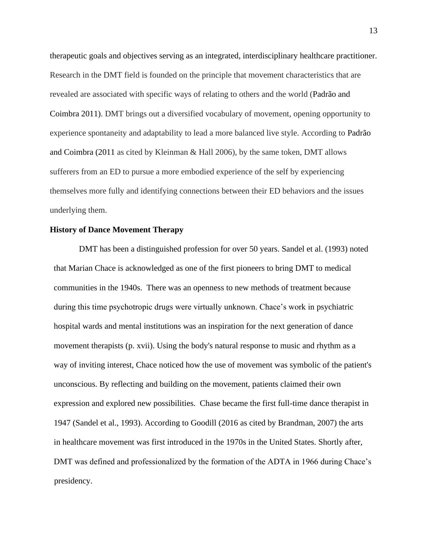therapeutic goals and objectives serving as an integrated, interdisciplinary healthcare practitioner. Research in the DMT field is founded on the principle that movement characteristics that are revealed are associated with specific ways of relating to others and the world (Padrão and Coimbra 2011). DMT brings out a diversified vocabulary of movement, opening opportunity to experience spontaneity and adaptability to lead a more balanced live style. According to Padrão and Coimbra (2011 as cited by Kleinman  $\&$  Hall 2006), by the same token, DMT allows sufferers from an ED to pursue a more embodied experience of the self by experiencing themselves more fully and identifying connections between their ED behaviors and the issues underlying them.

#### **History of Dance Movement Therapy**

DMT has been a distinguished profession for over 50 years. Sandel et al. (1993) noted that Marian Chace is acknowledged as one of the first pioneers to bring DMT to medical communities in the 1940s. There was an openness to new methods of treatment because during this time psychotropic drugs were virtually unknown. Chace's work in psychiatric hospital wards and mental institutions was an inspiration for the next generation of dance movement therapists (p. xvii). Using the body's natural response to music and rhythm as a way of inviting interest, Chace noticed how the use of movement was symbolic of the patient's unconscious. By reflecting and building on the movement, patients claimed their own expression and explored new possibilities. Chase became the first full-time dance therapist in 1947 (Sandel et al., 1993). According to Goodill (2016 as cited by Brandman, 2007) the arts in healthcare movement was first introduced in the 1970s in the United States. Shortly after, DMT was defined and professionalized by the formation of the ADTA in 1966 during Chace's presidency.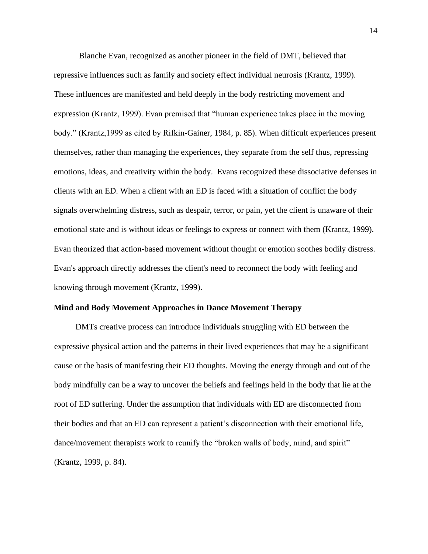Blanche Evan, recognized as another pioneer in the field of DMT, believed that repressive influences such as family and society effect individual neurosis (Krantz, 1999). These influences are manifested and held deeply in the body restricting movement and expression (Krantz, 1999). Evan premised that "human experience takes place in the moving body." (Krantz,1999 as cited by Rifkin-Gainer, 1984, p. 85). When difficult experiences present themselves, rather than managing the experiences, they separate from the self thus, repressing emotions, ideas, and creativity within the body. Evans recognized these dissociative defenses in clients with an ED. When a client with an ED is faced with a situation of conflict the body signals overwhelming distress, such as despair, terror, or pain, yet the client is unaware of their emotional state and is without ideas or feelings to express or connect with them (Krantz, 1999). Evan theorized that action-based movement without thought or emotion soothes bodily distress. Evan's approach directly addresses the client's need to reconnect the body with feeling and knowing through movement (Krantz, 1999).

#### **Mind and Body Movement Approaches in Dance Movement Therapy**

DMTs creative process can introduce individuals struggling with ED between the expressive physical action and the patterns in their lived experiences that may be a significant cause or the basis of manifesting their ED thoughts. Moving the energy through and out of the body mindfully can be a way to uncover the beliefs and feelings held in the body that lie at the root of ED suffering. Under the assumption that individuals with ED are disconnected from their bodies and that an ED can represent a patient's disconnection with their emotional life, dance/movement therapists work to reunify the "broken walls of body, mind, and spirit" (Krantz, 1999, p. 84).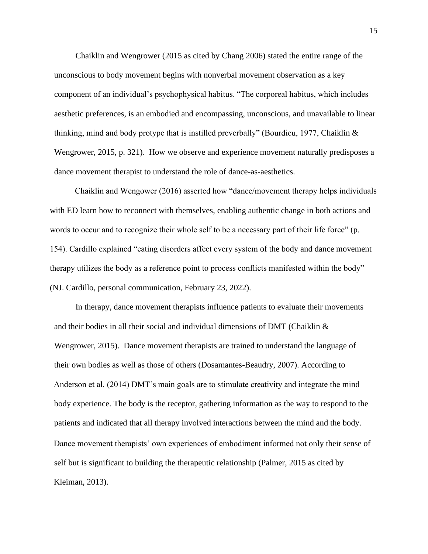Chaiklin and Wengrower (2015 as cited by Chang 2006) stated the entire range of the unconscious to body movement begins with nonverbal movement observation as a key component of an individual's psychophysical habitus. "The corporeal habitus, which includes aesthetic preferences, is an embodied and encompassing, unconscious, and unavailable to linear thinking, mind and body protype that is instilled preverbally" (Bourdieu, 1977, Chaiklin & Wengrower, 2015, p. 321). How we observe and experience movement naturally predisposes a dance movement therapist to understand the role of dance-as-aesthetics.

Chaiklin and Wengower (2016) asserted how "dance/movement therapy helps individuals with ED learn how to reconnect with themselves, enabling authentic change in both actions and words to occur and to recognize their whole self to be a necessary part of their life force" (p. 154). Cardillo explained "eating disorders affect every system of the body and dance movement therapy utilizes the body as a reference point to process conflicts manifested within the body" (NJ. Cardillo, personal communication, February 23, 2022).

In therapy, dance movement therapists influence patients to evaluate their movements and their bodies in all their social and individual dimensions of DMT (Chaiklin & Wengrower, 2015). Dance movement therapists are trained to understand the language of their own bodies as well as those of others (Dosamantes-Beaudry, 2007). According to Anderson et al. (2014) DMT's main goals are to stimulate creativity and integrate the mind body experience. The body is the receptor, gathering information as the way to respond to the patients and indicated that all therapy involved interactions between the mind and the body. Dance movement therapists' own experiences of embodiment informed not only their sense of self but is significant to building the therapeutic relationship (Palmer, 2015 as cited by Kleiman, 2013).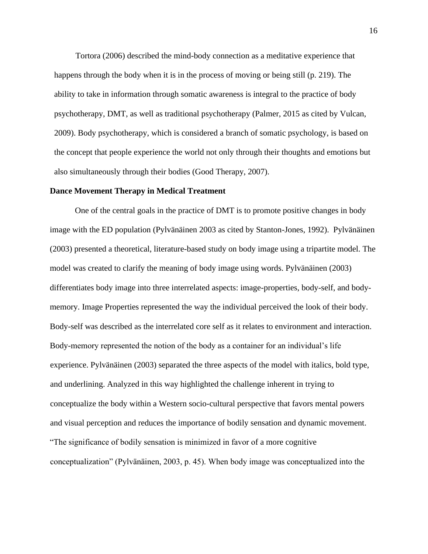Tortora (2006) described the mind-body connection as a meditative experience that happens through the body when it is in the process of moving or being still (p. 219). The ability to take in information through somatic awareness is integral to the practice of body psychotherapy, DMT, as well as traditional psychotherapy (Palmer, 2015 as cited by Vulcan, 2009). Body psychotherapy, which is considered a branch of somatic psychology, is based on the concept that people experience the world not only through their thoughts and emotions but also simultaneously through their bodies (Good Therapy, 2007).

#### **Dance Movement Therapy in Medical Treatment**

One of the central goals in the practice of DMT is to promote positive changes in body image with the ED population (Pylvänäinen 2003 as cited by Stanton-Jones, 1992). Pylvänäinen (2003) presented a theoretical, literature-based study on body image using a tripartite model. The model was created to clarify the meaning of body image using words. Pylvänäinen (2003) differentiates body image into three interrelated aspects: image-properties, body-self, and bodymemory. Image Properties represented the way the individual perceived the look of their body. Body-self was described as the interrelated core self as it relates to environment and interaction. Body-memory represented the notion of the body as a container for an individual's life experience. Pylvänäinen (2003) separated the three aspects of the model with italics, bold type, and underlining. Analyzed in this way highlighted the challenge inherent in trying to conceptualize the body within a Western socio-cultural perspective that favors mental powers and visual perception and reduces the importance of bodily sensation and dynamic movement. "The significance of bodily sensation is minimized in favor of a more cognitive conceptualization" (Pylvänäinen, 2003, p. 45). When body image was conceptualized into the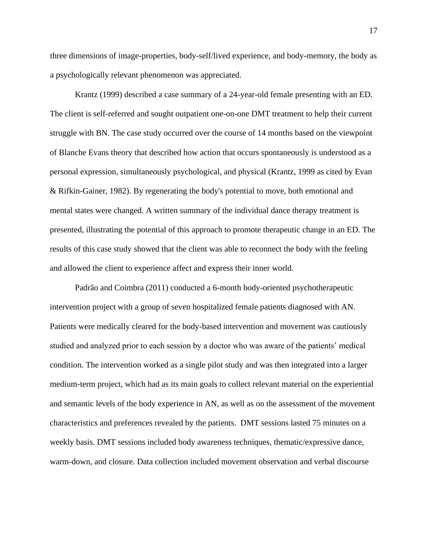three dimensions of image-properties, body-self/lived experience, and body-memory, the body as a psychologically relevant phenomenon was appreciated.

Krantz (1999) described a case summary of a 24-year-old female presenting with an ED. The client is self-referred and sought outpatient one-on-one DMT treatment to help their current struggle with BN. The case study occurred over the course of 14 months based on the viewpoint of Blanche Evans theory that described how action that occurs spontaneously is understood as a personal expression, simultaneously psychological, and physical (Krantz, 1999 as cited by Evan & Rifkin-Gainer, 1982). By regenerating the body's potential to move, both emotional and mental states were changed. A written summary of the individual dance therapy treatment is presented, illustrating the potential of this approach to promote therapeutic change in an ED. The results of this case study showed that the client was able to reconnect the body with the feeling and allowed the client to experience affect and express their inner world.

Padrão and Coimbra (2011) conducted a 6-month body-oriented psychotherapeutic intervention project with a group of seven hospitalized female patients diagnosed with AN. Patients were medically cleared for the body-based intervention and movement was cautiously studied and analyzed prior to each session by a doctor who was aware of the patients' medical condition. The intervention worked as a single pilot study and was then integrated into a larger medium-term project, which had as its main goals to collect relevant material on the experiential and semantic levels of the body experience in AN, as well as on the assessment of the movement characteristics and preferences revealed by the patients. DMT sessions lasted 75 minutes on a weekly basis. DMT sessions included body awareness techniques, thematic/expressive dance, warm-down, and closure. Data collection included movement observation and verbal discourse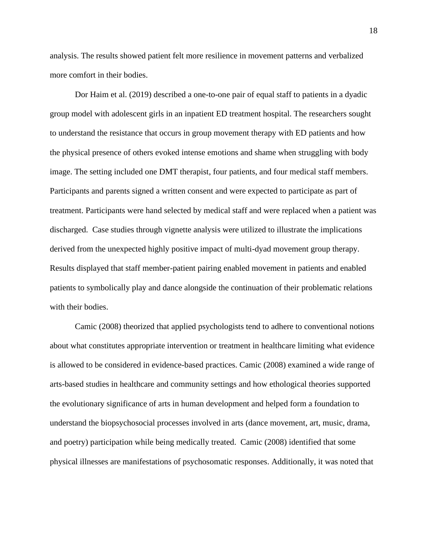analysis. The results showed patient felt more resilience in movement patterns and verbalized more comfort in their bodies.

Dor Haim et al. (2019) described a one-to-one pair of equal staff to patients in a dyadic group model with adolescent girls in an inpatient ED treatment hospital. The researchers sought to understand the resistance that occurs in group movement therapy with ED patients and how the physical presence of others evoked intense emotions and shame when struggling with body image. The setting included one DMT therapist, four patients, and four medical staff members. Participants and parents signed a written consent and were expected to participate as part of treatment. Participants were hand selected by medical staff and were replaced when a patient was discharged. Case studies through vignette analysis were utilized to illustrate the implications derived from the unexpected highly positive impact of multi-dyad movement group therapy. Results displayed that staff member-patient pairing enabled movement in patients and enabled patients to symbolically play and dance alongside the continuation of their problematic relations with their bodies.

Camic (2008) theorized that applied psychologists tend to adhere to conventional notions about what constitutes appropriate intervention or treatment in healthcare limiting what evidence is allowed to be considered in evidence-based practices. Camic (2008) examined a wide range of arts-based studies in healthcare and community settings and how ethological theories supported the evolutionary significance of arts in human development and helped form a foundation to understand the biopsychosocial processes involved in arts (dance movement, art, music, drama, and poetry) participation while being medically treated. Camic (2008) identified that some physical illnesses are manifestations of psychosomatic responses. Additionally, it was noted that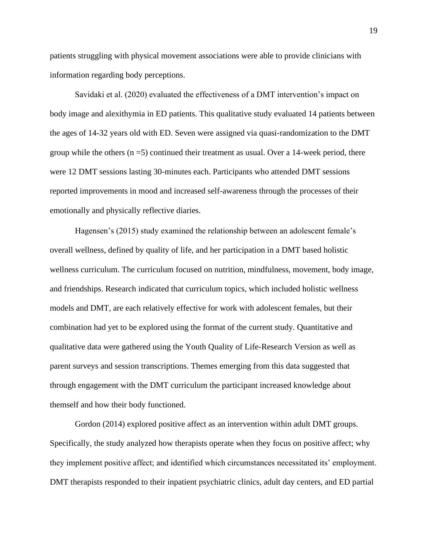patients struggling with physical movement associations were able to provide clinicians with information regarding body perceptions.

Savidaki et al. (2020) evaluated the effectiveness of a DMT intervention's impact on body image and alexithymia in ED patients. This qualitative study evaluated 14 patients between the ages of 14-32 years old with ED. Seven were assigned via quasi-randomization to the DMT group while the others  $(n = 5)$  continued their treatment as usual. Over a 14-week period, there were 12 DMT sessions lasting 30-minutes each. Participants who attended DMT sessions reported improvements in mood and increased self-awareness through the processes of their emotionally and physically reflective diaries.

Hagensen's (2015) study examined the relationship between an adolescent female's overall wellness, defined by quality of life, and her participation in a DMT based holistic wellness curriculum. The curriculum focused on nutrition, mindfulness, movement, body image, and friendships. Research indicated that curriculum topics, which included holistic wellness models and DMT, are each relatively effective for work with adolescent females, but their combination had yet to be explored using the format of the current study. Quantitative and qualitative data were gathered using the Youth Quality of Life-Research Version as well as parent surveys and session transcriptions. Themes emerging from this data suggested that through engagement with the DMT curriculum the participant increased knowledge about themself and how their body functioned.

Gordon (2014) explored positive affect as an intervention within adult DMT groups. Specifically, the study analyzed how therapists operate when they focus on positive affect; why they implement positive affect; and identified which circumstances necessitated its' employment. DMT therapists responded to their inpatient psychiatric clinics, adult day centers, and ED partial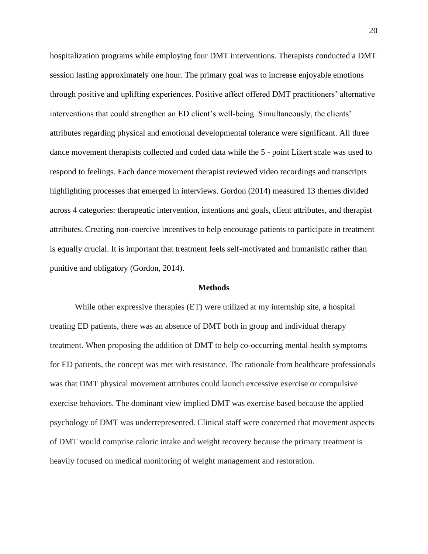hospitalization programs while employing four DMT interventions. Therapists conducted a DMT session lasting approximately one hour. The primary goal was to increase enjoyable emotions through positive and uplifting experiences. Positive affect offered DMT practitioners' alternative interventions that could strengthen an ED client's well-being. Simultaneously, the clients' attributes regarding physical and emotional developmental tolerance were significant. All three dance movement therapists collected and coded data while the 5 - point Likert scale was used to respond to feelings. Each dance movement therapist reviewed video recordings and transcripts highlighting processes that emerged in interviews. Gordon (2014) measured 13 themes divided across 4 categories: therapeutic intervention, intentions and goals, client attributes, and therapist attributes. Creating non-coercive incentives to help encourage patients to participate in treatment is equally crucial. It is important that treatment feels self-motivated and humanistic rather than punitive and obligatory (Gordon, 2014).

#### **Methods**

While other expressive therapies (ET) were utilized at my internship site, a hospital treating ED patients, there was an absence of DMT both in group and individual therapy treatment. When proposing the addition of DMT to help co-occurring mental health symptoms for ED patients, the concept was met with resistance. The rationale from healthcare professionals was that DMT physical movement attributes could launch excessive exercise or compulsive exercise behaviors. The dominant view implied DMT was exercise based because the applied psychology of DMT was underrepresented. Clinical staff were concerned that movement aspects of DMT would comprise caloric intake and weight recovery because the primary treatment is heavily focused on medical monitoring of weight management and restoration.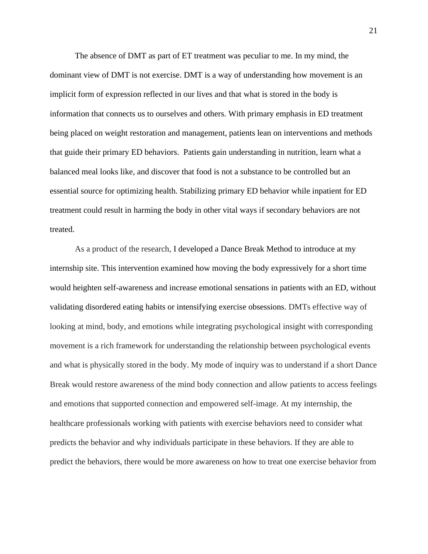The absence of DMT as part of ET treatment was peculiar to me. In my mind, the dominant view of DMT is not exercise. DMT is a way of understanding how movement is an implicit form of expression reflected in our lives and that what is stored in the body is information that connects us to ourselves and others. With primary emphasis in ED treatment being placed on weight restoration and management, patients lean on interventions and methods that guide their primary ED behaviors. Patients gain understanding in nutrition, learn what a balanced meal looks like, and discover that food is not a substance to be controlled but an essential source for optimizing health. Stabilizing primary ED behavior while inpatient for ED treatment could result in harming the body in other vital ways if secondary behaviors are not treated.

As a product of the research, I developed a Dance Break Method to introduce at my internship site. This intervention examined how moving the body expressively for a short time would heighten self-awareness and increase emotional sensations in patients with an ED, without validating disordered eating habits or intensifying exercise obsessions. DMTs effective way of looking at mind, body, and emotions while integrating psychological insight with corresponding movement is a rich framework for understanding the relationship between psychological events and what is physically stored in the body. My mode of inquiry was to understand if a short Dance Break would restore awareness of the mind body connection and allow patients to access feelings and emotions that supported connection and empowered self-image. At my internship, the healthcare professionals working with patients with exercise behaviors need to consider what predicts the behavior and why individuals participate in these behaviors. If they are able to predict the behaviors, there would be more awareness on how to treat one exercise behavior from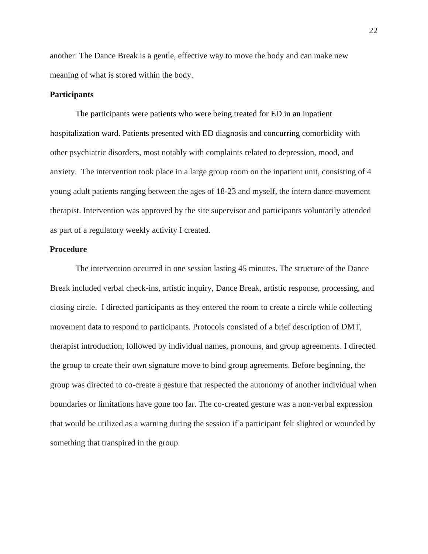another. The Dance Break is a gentle, effective way to move the body and can make new meaning of what is stored within the body.

#### **Participants**

The participants were patients who were being treated for ED in an inpatient hospitalization ward. Patients presented with ED diagnosis and concurring comorbidity with other psychiatric disorders, most notably with complaints related to depression, mood, and anxiety. The intervention took place in a large group room on the inpatient unit, consisting of 4 young adult patients ranging between the ages of 18-23 and myself, the intern dance movement therapist. Intervention was approved by the site supervisor and participants voluntarily attended as part of a regulatory weekly activity I created.

#### **Procedure**

The intervention occurred in one session lasting 45 minutes. The structure of the Dance Break included verbal check-ins, artistic inquiry, Dance Break, artistic response, processing, and closing circle. I directed participants as they entered the room to create a circle while collecting movement data to respond to participants. Protocols consisted of a brief description of DMT, therapist introduction, followed by individual names, pronouns, and group agreements. I directed the group to create their own signature move to bind group agreements. Before beginning, the group was directed to co-create a gesture that respected the autonomy of another individual when boundaries or limitations have gone too far. The co-created gesture was a non-verbal expression that would be utilized as a warning during the session if a participant felt slighted or wounded by something that transpired in the group.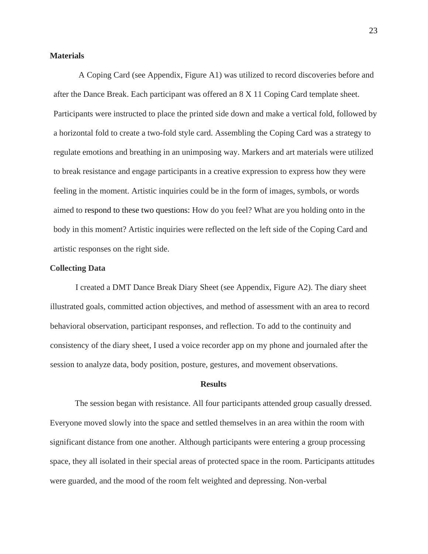#### **Materials**

A Coping Card (see Appendix, Figure A1) was utilized to record discoveries before and after the Dance Break. Each participant was offered an 8 X 11 Coping Card template sheet. Participants were instructed to place the printed side down and make a vertical fold, followed by a horizontal fold to create a two-fold style card. Assembling the Coping Card was a strategy to regulate emotions and breathing in an unimposing way. Markers and art materials were utilized to break resistance and engage participants in a creative expression to express how they were feeling in the moment. Artistic inquiries could be in the form of images, symbols, or words aimed to respond to these two questions: How do you feel? What are you holding onto in the body in this moment? Artistic inquiries were reflected on the left side of the Coping Card and artistic responses on the right side.

#### **Collecting Data**

I created a DMT Dance Break Diary Sheet (see Appendix, Figure A2). The diary sheet illustrated goals, committed action objectives, and method of assessment with an area to record behavioral observation, participant responses, and reflection. To add to the continuity and consistency of the diary sheet, I used a voice recorder app on my phone and journaled after the session to analyze data, body position, posture, gestures, and movement observations.

#### **Results**

The session began with resistance. All four participants attended group casually dressed. Everyone moved slowly into the space and settled themselves in an area within the room with significant distance from one another. Although participants were entering a group processing space, they all isolated in their special areas of protected space in the room. Participants attitudes were guarded, and the mood of the room felt weighted and depressing. Non-verbal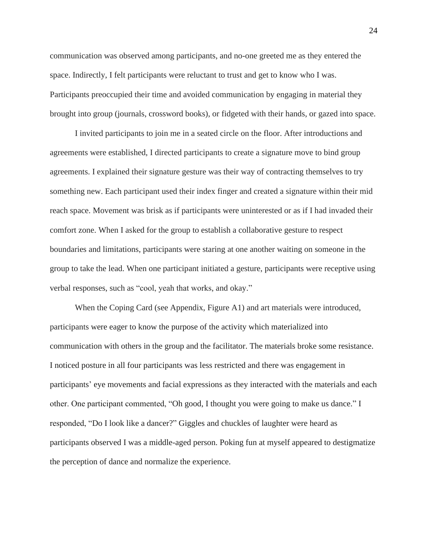communication was observed among participants, and no-one greeted me as they entered the space. Indirectly, I felt participants were reluctant to trust and get to know who I was. Participants preoccupied their time and avoided communication by engaging in material they brought into group (journals, crossword books), or fidgeted with their hands, or gazed into space.

I invited participants to join me in a seated circle on the floor. After introductions and agreements were established, I directed participants to create a signature move to bind group agreements. I explained their signature gesture was their way of contracting themselves to try something new. Each participant used their index finger and created a signature within their mid reach space. Movement was brisk as if participants were uninterested or as if I had invaded their comfort zone. When I asked for the group to establish a collaborative gesture to respect boundaries and limitations, participants were staring at one another waiting on someone in the group to take the lead. When one participant initiated a gesture, participants were receptive using verbal responses, such as "cool, yeah that works, and okay."

When the Coping Card (see Appendix, Figure A1) and art materials were introduced, participants were eager to know the purpose of the activity which materialized into communication with others in the group and the facilitator. The materials broke some resistance. I noticed posture in all four participants was less restricted and there was engagement in participants' eye movements and facial expressions as they interacted with the materials and each other. One participant commented, "Oh good, I thought you were going to make us dance." I responded, "Do I look like a dancer?" Giggles and chuckles of laughter were heard as participants observed I was a middle-aged person. Poking fun at myself appeared to destigmatize the perception of dance and normalize the experience.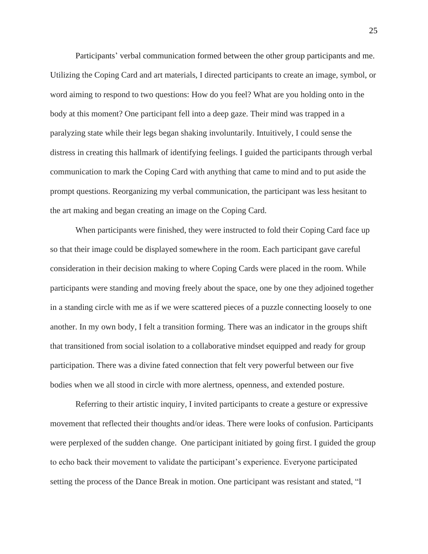Participants' verbal communication formed between the other group participants and me. Utilizing the Coping Card and art materials, I directed participants to create an image, symbol, or word aiming to respond to two questions: How do you feel? What are you holding onto in the body at this moment? One participant fell into a deep gaze. Their mind was trapped in a paralyzing state while their legs began shaking involuntarily. Intuitively, I could sense the distress in creating this hallmark of identifying feelings. I guided the participants through verbal communication to mark the Coping Card with anything that came to mind and to put aside the prompt questions. Reorganizing my verbal communication, the participant was less hesitant to the art making and began creating an image on the Coping Card.

When participants were finished, they were instructed to fold their Coping Card face up so that their image could be displayed somewhere in the room. Each participant gave careful consideration in their decision making to where Coping Cards were placed in the room. While participants were standing and moving freely about the space, one by one they adjoined together in a standing circle with me as if we were scattered pieces of a puzzle connecting loosely to one another. In my own body, I felt a transition forming. There was an indicator in the groups shift that transitioned from social isolation to a collaborative mindset equipped and ready for group participation. There was a divine fated connection that felt very powerful between our five bodies when we all stood in circle with more alertness, openness, and extended posture.

Referring to their artistic inquiry, I invited participants to create a gesture or expressive movement that reflected their thoughts and/or ideas. There were looks of confusion. Participants were perplexed of the sudden change. One participant initiated by going first. I guided the group to echo back their movement to validate the participant's experience. Everyone participated setting the process of the Dance Break in motion. One participant was resistant and stated, "I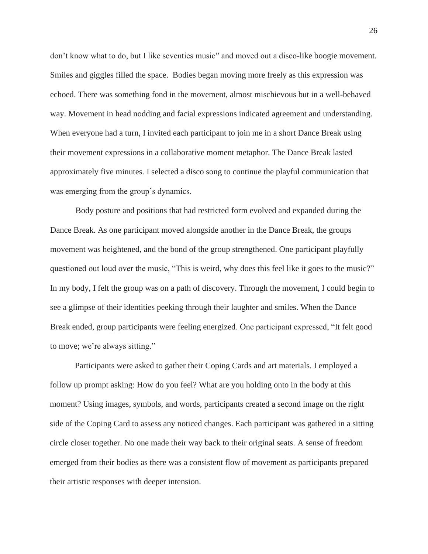don't know what to do, but I like seventies music" and moved out a disco-like boogie movement. Smiles and giggles filled the space. Bodies began moving more freely as this expression was echoed. There was something fond in the movement, almost mischievous but in a well-behaved way. Movement in head nodding and facial expressions indicated agreement and understanding. When everyone had a turn, I invited each participant to join me in a short Dance Break using their movement expressions in a collaborative moment metaphor. The Dance Break lasted approximately five minutes. I selected a disco song to continue the playful communication that was emerging from the group's dynamics.

Body posture and positions that had restricted form evolved and expanded during the Dance Break. As one participant moved alongside another in the Dance Break, the groups movement was heightened, and the bond of the group strengthened. One participant playfully questioned out loud over the music, "This is weird, why does this feel like it goes to the music?" In my body, I felt the group was on a path of discovery. Through the movement, I could begin to see a glimpse of their identities peeking through their laughter and smiles. When the Dance Break ended, group participants were feeling energized. One participant expressed, "It felt good to move; we're always sitting."

Participants were asked to gather their Coping Cards and art materials. I employed a follow up prompt asking: How do you feel? What are you holding onto in the body at this moment? Using images, symbols, and words, participants created a second image on the right side of the Coping Card to assess any noticed changes. Each participant was gathered in a sitting circle closer together. No one made their way back to their original seats. A sense of freedom emerged from their bodies as there was a consistent flow of movement as participants prepared their artistic responses with deeper intension.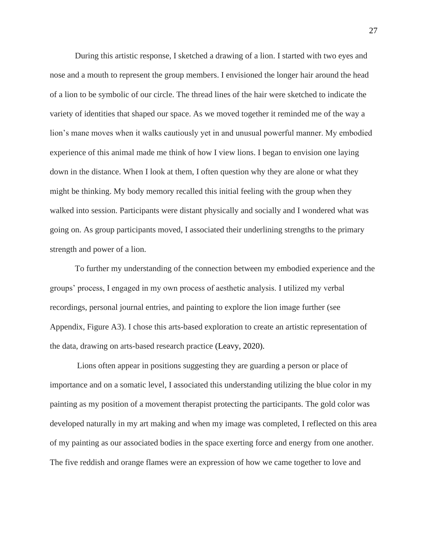During this artistic response, I sketched a drawing of a lion. I started with two eyes and nose and a mouth to represent the group members. I envisioned the longer hair around the head of a lion to be symbolic of our circle. The thread lines of the hair were sketched to indicate the variety of identities that shaped our space. As we moved together it reminded me of the way a lion's mane moves when it walks cautiously yet in and unusual powerful manner. My embodied experience of this animal made me think of how I view lions. I began to envision one laying down in the distance. When I look at them, I often question why they are alone or what they might be thinking. My body memory recalled this initial feeling with the group when they walked into session. Participants were distant physically and socially and I wondered what was going on. As group participants moved, I associated their underlining strengths to the primary strength and power of a lion.

To further my understanding of the connection between my embodied experience and the groups' process, I engaged in my own process of aesthetic analysis. I utilized my verbal recordings, personal journal entries, and painting to explore the lion image further (see Appendix, Figure A3). I chose this arts-based exploration to create an artistic representation of the data, drawing on arts-based research practice (Leavy, 2020).

Lions often appear in positions suggesting they are guarding a person or place of importance and on a somatic level, I associated this understanding utilizing the blue color in my painting as my position of a movement therapist protecting the participants. The gold color was developed naturally in my art making and when my image was completed, I reflected on this area of my painting as our associated bodies in the space exerting force and energy from one another. The five reddish and orange flames were an expression of how we came together to love and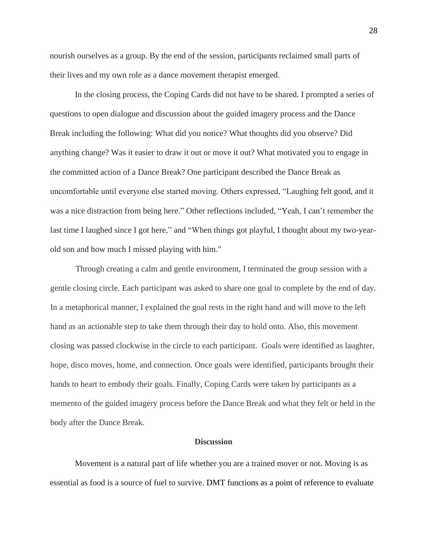nourish ourselves as a group. By the end of the session, participants reclaimed small parts of their lives and my own role as a dance movement therapist emerged.

In the closing process, the Coping Cards did not have to be shared. I prompted a series of questions to open dialogue and discussion about the guided imagery process and the Dance Break including the following: What did you notice? What thoughts did you observe? Did anything change? Was it easier to draw it out or move it out? What motivated you to engage in the committed action of a Dance Break? One participant described the Dance Break as uncomfortable until everyone else started moving. Others expressed, "Laughing felt good, and it was a nice distraction from being here." Other reflections included, "Yeah, I can't remember the last time I laughed since I got here," and "When things got playful, I thought about my two-yearold son and how much I missed playing with him."

Through creating a calm and gentle environment, I terminated the group session with a gentle closing circle. Each participant was asked to share one goal to complete by the end of day. In a metaphorical manner, I explained the goal rests in the right hand and will move to the left hand as an actionable step to take them through their day to hold onto. Also, this movement closing was passed clockwise in the circle to each participant. Goals were identified as laughter, hope, disco moves, home, and connection. Once goals were identified, participants brought their hands to heart to embody their goals. Finally, Coping Cards were taken by participants as a memento of the guided imagery process before the Dance Break and what they felt or held in the body after the Dance Break.

#### **Discussion**

Movement is a natural part of life whether you are a trained mover or not. Moving is as essential as food is a source of fuel to survive. DMT functions as a point of reference to evaluate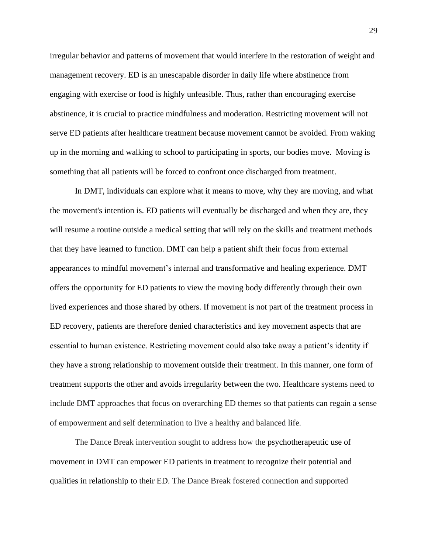irregular behavior and patterns of movement that would interfere in the restoration of weight and management recovery. ED is an unescapable disorder in daily life where abstinence from engaging with exercise or food is highly unfeasible. Thus, rather than encouraging exercise abstinence, it is crucial to practice mindfulness and moderation. Restricting movement will not serve ED patients after healthcare treatment because movement cannot be avoided. From waking up in the morning and walking to school to participating in sports, our bodies move. Moving is something that all patients will be forced to confront once discharged from treatment.

In DMT, individuals can explore what it means to move, why they are moving, and what the movement's intention is. ED patients will eventually be discharged and when they are, they will resume a routine outside a medical setting that will rely on the skills and treatment methods that they have learned to function. DMT can help a patient shift their focus from external appearances to mindful movement's internal and transformative and healing experience. DMT offers the opportunity for ED patients to view the moving body differently through their own lived experiences and those shared by others. If movement is not part of the treatment process in ED recovery, patients are therefore denied characteristics and key movement aspects that are essential to human existence. Restricting movement could also take away a patient's identity if they have a strong relationship to movement outside their treatment. In this manner, one form of treatment supports the other and avoids irregularity between the two. Healthcare systems need to include DMT approaches that focus on overarching ED themes so that patients can regain a sense of empowerment and self determination to live a healthy and balanced life.

The Dance Break intervention sought to address how the psychotherapeutic use of movement in DMT can empower ED patients in treatment to recognize their potential and qualities in relationship to their ED. The Dance Break fostered connection and supported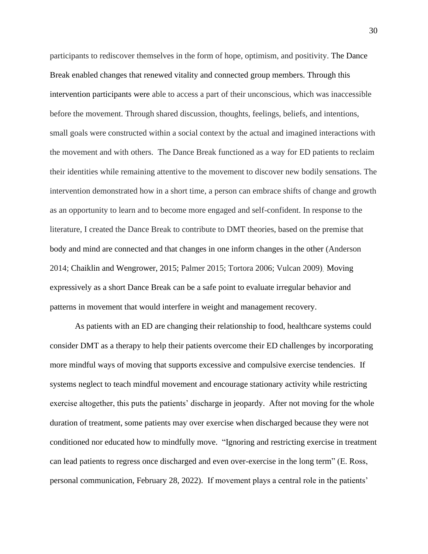participants to rediscover themselves in the form of hope, optimism, and positivity. The Dance Break enabled changes that renewed vitality and connected group members. Through this intervention participants were able to access a part of their unconscious, which was inaccessible before the movement. Through shared discussion, thoughts, feelings, beliefs, and intentions, small goals were constructed within a social context by the actual and imagined interactions with the movement and with others. The Dance Break functioned as a way for ED patients to reclaim their identities while remaining attentive to the movement to discover new bodily sensations. The intervention demonstrated how in a short time, a person can embrace shifts of change and growth as an opportunity to learn and to become more engaged and self-confident. In response to the literature, I created the Dance Break to contribute to DMT theories, based on the premise that body and mind are connected and that changes in one inform changes in the other (Anderson 2014; Chaiklin and Wengrower, 2015; Palmer 2015; Tortora 2006; Vulcan 2009). Moving expressively as a short Dance Break can be a safe point to evaluate irregular behavior and patterns in movement that would interfere in weight and management recovery.

As patients with an ED are changing their relationship to food, healthcare systems could consider DMT as a therapy to help their patients overcome their ED challenges by incorporating more mindful ways of moving that supports excessive and compulsive exercise tendencies. If systems neglect to teach mindful movement and encourage stationary activity while restricting exercise altogether, this puts the patients' discharge in jeopardy. After not moving for the whole duration of treatment, some patients may over exercise when discharged because they were not conditioned nor educated how to mindfully move. "Ignoring and restricting exercise in treatment can lead patients to regress once discharged and even over-exercise in the long term" (E. Ross, personal communication, February 28, 2022). If movement plays a central role in the patients'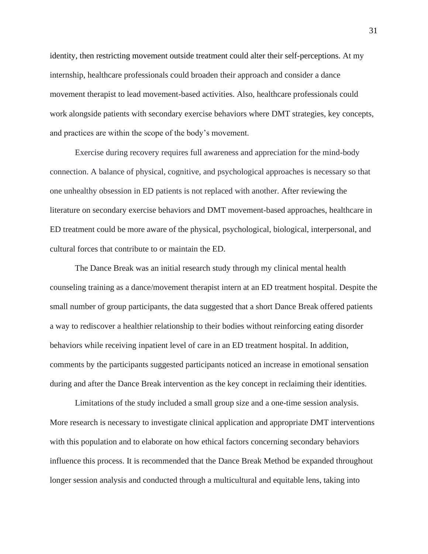identity, then restricting movement outside treatment could alter their self-perceptions. At my internship, healthcare professionals could broaden their approach and consider a dance movement therapist to lead movement-based activities. Also, healthcare professionals could work alongside patients with secondary exercise behaviors where DMT strategies, key concepts, and practices are within the scope of the body's movement.

Exercise during recovery requires full awareness and appreciation for the mind-body connection. A balance of physical, cognitive, and psychological approaches is necessary so that one unhealthy obsession in ED patients is not replaced with another. After reviewing the literature on secondary exercise behaviors and DMT movement-based approaches, healthcare in ED treatment could be more aware of the physical, psychological, biological, interpersonal, and cultural forces that contribute to or maintain the ED.

The Dance Break was an initial research study through my clinical mental health counseling training as a dance/movement therapist intern at an ED treatment hospital. Despite the small number of group participants, the data suggested that a short Dance Break offered patients a way to rediscover a healthier relationship to their bodies without reinforcing eating disorder behaviors while receiving inpatient level of care in an ED treatment hospital. In addition, comments by the participants suggested participants noticed an increase in emotional sensation during and after the Dance Break intervention as the key concept in reclaiming their identities.

Limitations of the study included a small group size and a one-time session analysis. More research is necessary to investigate clinical application and appropriate DMT interventions with this population and to elaborate on how ethical factors concerning secondary behaviors influence this process. It is recommended that the Dance Break Method be expanded throughout longer session analysis and conducted through a multicultural and equitable lens, taking into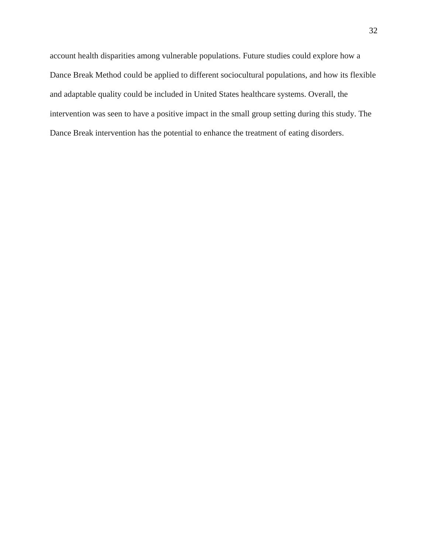account health disparities among vulnerable populations. Future studies could explore how a Dance Break Method could be applied to different sociocultural populations, and how its flexible and adaptable quality could be included in United States healthcare systems. Overall, the intervention was seen to have a positive impact in the small group setting during this study. The Dance Break intervention has the potential to enhance the treatment of eating disorders.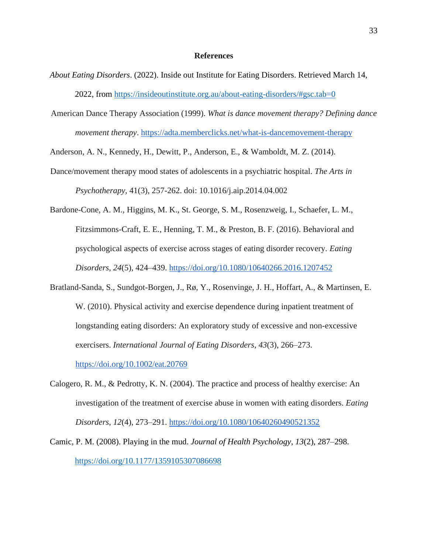#### **References**

- *About Eating Disorders*. (2022). Inside out Institute for Eating Disorders. Retrieved March 14, 2022, from<https://insideoutinstitute.org.au/about-eating-disorders/#gsc.tab=0>
- American Dance Therapy Association (1999). *What is dance movement therapy? Defining dance movement therapy*.<https://adta.memberclicks.net/what-is-dancemovement-therapy>

Anderson, A. N., Kennedy, H., Dewitt, P., Anderson, E., & Wamboldt, M. Z. (2014).

Dance/movement therapy mood states of adolescents in a psychiatric hospital. *The Arts in Psychotherapy*, 41(3), 257-262. doi: 10.1016/j.aip.2014.04.002

Bardone-Cone, A. M., Higgins, M. K., St. George, S. M., Rosenzweig, I., Schaefer, L. M., Fitzsimmons-Craft, E. E., Henning, T. M., & Preston, B. F. (2016). Behavioral and psychological aspects of exercise across stages of eating disorder recovery. *Eating Disorders*, *24*(5), 424–439.<https://doi.org/10.1080/10640266.2016.1207452>

- Bratland-Sanda, S., Sundgot-Borgen, J., Rø, Y., Rosenvinge, J. H., Hoffart, A., & Martinsen, E. W. (2010). Physical activity and exercise dependence during inpatient treatment of longstanding eating disorders: An exploratory study of excessive and non-excessive exercisers. *International Journal of Eating Disorders*, *43*(3), 266–273. <https://doi.org/10.1002/eat.20769>
- Calogero, R. M., & Pedrotty, K. N. (2004). The practice and process of healthy exercise: An investigation of the treatment of exercise abuse in women with eating disorders. *Eating Disorders*, *12*(4), 273–291.<https://doi.org/10.1080/10640260490521352>
- Camic, P. M. (2008). Playing in the mud. *Journal of Health Psychology*, *13*(2), 287–298. <https://doi.org/10.1177/1359105307086698>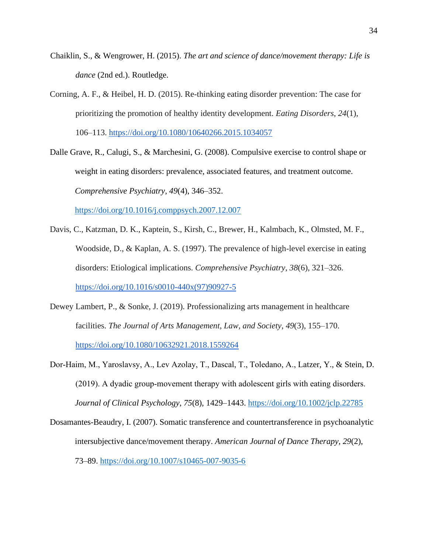- Chaiklin, S., & Wengrower, H. (2015). *The art and science of dance/movement therapy: Life is dance* (2nd ed.). Routledge.
- Corning, A. F., & Heibel, H. D. (2015). Re-thinking eating disorder prevention: The case for prioritizing the promotion of healthy identity development. *Eating Disorders*, *24*(1), 106–113.<https://doi.org/10.1080/10640266.2015.1034057>

Dalle Grave, R., Calugi, S., & Marchesini, G. (2008). Compulsive exercise to control shape or weight in eating disorders: prevalence, associated features, and treatment outcome. *Comprehensive Psychiatry*, *49*(4), 346–352.

<https://doi.org/10.1016/j.comppsych.2007.12.007>

- Davis, C., Katzman, D. K., Kaptein, S., Kirsh, C., Brewer, H., Kalmbach, K., Olmsted, M. F., Woodside, D., & Kaplan, A. S. (1997). The prevalence of high-level exercise in eating disorders: Etiological implications. *Comprehensive Psychiatry*, *38*(6), 321–326. [https://doi.org/10.1016/s0010-440x\(97\)90927-5](https://doi.org/10.1016/s0010-440x(97)90927-5)
- Dewey Lambert, P., & Sonke, J. (2019). Professionalizing arts management in healthcare facilities. *The Journal of Arts Management, Law, and Society*, *49*(3), 155–170. <https://doi.org/10.1080/10632921.2018.1559264>
- Dor‐Haim, M., Yaroslavsy, A., Lev Azolay, T., Dascal, T., Toledano, A., Latzer, Y., & Stein, D. (2019). A dyadic group‐movement therapy with adolescent girls with eating disorders. *Journal of Clinical Psychology*, *75*(8), 1429–1443.<https://doi.org/10.1002/jclp.22785>
- Dosamantes-Beaudry, I. (2007). Somatic transference and countertransference in psychoanalytic intersubjective dance/movement therapy. *American Journal of Dance Therapy*, *29*(2), 73–89.<https://doi.org/10.1007/s10465-007-9035-6>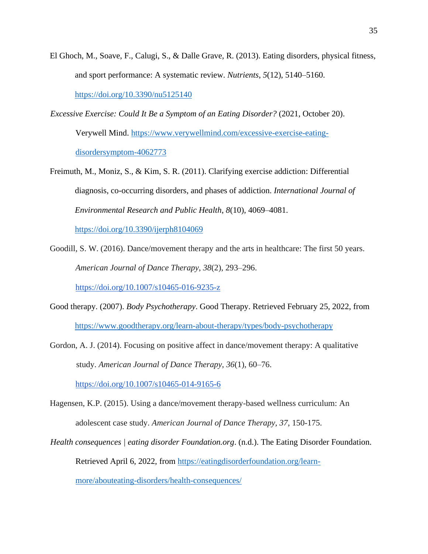El Ghoch, M., Soave, F., Calugi, S., & Dalle Grave, R. (2013). Eating disorders, physical fitness, and sport performance: A systematic review. *Nutrients*, *5*(12), 5140–5160.

<https://doi.org/10.3390/nu5125140>

- *Excessive Exercise: Could It Be a Symptom of an Eating Disorder?* (2021, October 20). Verywell Mind. [https://www.verywellmind.com/excessive-exercise-eating](https://www.verywellmind.com/excessive-exercise-eating-disorder-symptom-4062773)[disordersymptom-4062773](https://www.verywellmind.com/excessive-exercise-eating-disorder-symptom-4062773)
- Freimuth, M., Moniz, S., & Kim, S. R. (2011). Clarifying exercise addiction: Differential diagnosis, co-occurring disorders, and phases of addiction. *International Journal of Environmental Research and Public Health*, *8*(10), 4069–4081.

<https://doi.org/10.3390/ijerph8104069>

Goodill, S. W. (2016). Dance/movement therapy and the arts in healthcare: The first 50 years. *American Journal of Dance Therapy*, *38*(2), 293–296.

<https://doi.org/10.1007/s10465-016-9235-z>

- Good therapy. (2007). *Body Psychotherapy*. Good Therapy. Retrieved February 25, 2022, from <https://www.goodtherapy.org/learn-about-therapy/types/body-psychotherapy>
- Gordon, A. J. (2014). Focusing on positive affect in dance/movement therapy: A qualitative study. *American Journal of Dance Therapy*, *36*(1), 60–76.

<https://doi.org/10.1007/s10465-014-9165-6>

- Hagensen, K.P. (2015). Using a dance/movement therapy-based wellness curriculum: An adolescent case study. *American Journal of Dance Therapy, 37*, 150-175.
- *Health consequences | eating disorder Foundation.org*. (n.d.). The Eating Disorder Foundation. Retrieved April 6, 2022, from [https://eatingdisorderfoundation.org/learn-](https://eatingdisorderfoundation.org/learn-more/about-eating-disorders/health-consequences/)

[more/abouteating-disorders/health-consequences/](https://eatingdisorderfoundation.org/learn-more/about-eating-disorders/health-consequences/)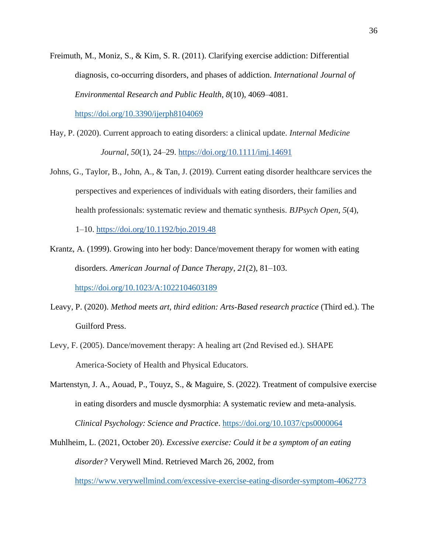Freimuth, M., Moniz, S., & Kim, S. R. (2011). Clarifying exercise addiction: Differential diagnosis, co-occurring disorders, and phases of addiction. *International Journal of Environmental Research and Public Health*, *8*(10), 4069–4081.

<https://doi.org/10.3390/ijerph8104069>

- Hay, P. (2020). Current approach to eating disorders: a clinical update. *Internal Medicine Journal*, *50*(1), 24–29.<https://doi.org/10.1111/imj.14691>
- Johns, G., Taylor, B., John, A., & Tan, J. (2019). Current eating disorder healthcare services the perspectives and experiences of individuals with eating disorders, their families and health professionals: systematic review and thematic synthesis. *BJPsych Open*, *5*(4),

1–10.<https://doi.org/10.1192/bjo.2019.48>

Krantz, A. (1999). Growing into her body: Dance/movement therapy for women with eating disorders. *American Journal of Dance Therapy*, *21*(2), 81–103.

<https://doi.org/10.1023/A:1022104603189>

- Leavy, P. (2020). *Method meets art, third edition: Arts-Based research practice* (Third ed.). The Guilford Press.
- Levy, F. (2005). Dance/movement therapy: A healing art (2nd Revised ed.). SHAPE America-Society of Health and Physical Educators.
- Martenstyn, J. A., Aouad, P., Touyz, S., & Maguire, S. (2022). Treatment of compulsive exercise in eating disorders and muscle dysmorphia: A systematic review and meta-analysis. *Clinical Psychology: Science and Practice*.<https://doi.org/10.1037/cps0000064>
- Muhlheim, L. (2021, October 20). *Excessive exercise: Could it be a symptom of an eating disorder?* Verywell Mind. Retrieved March 26, 2002, from

<https://www.verywellmind.com/excessive-exercise-eating-disorder-symptom-4062773>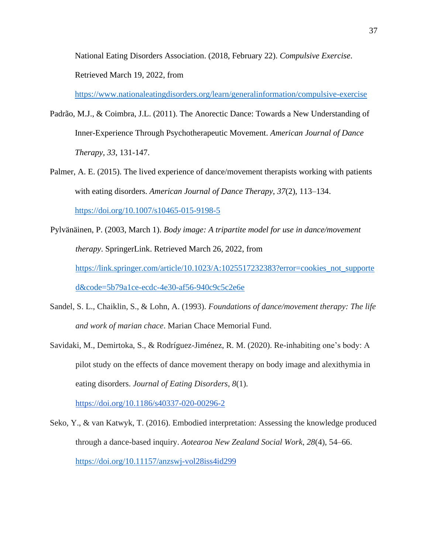National Eating Disorders Association. (2018, February 22). *Compulsive Exercise*. Retrieved March 19, 2022, from

[https://www.nationaleatingdisorders.org/learn/generalinformation/compulsive-exercise](https://www.nationaleatingdisorders.org/learn/general-information/compulsive-exercise)

- Padrão, M.J., & Coimbra, J.L. (2011). The Anorectic Dance: Towards a New Understanding of Inner-Experience Through Psychotherapeutic Movement. *American Journal of Dance Therapy, 33*, 131-147.
- Palmer, A. E. (2015). The lived experience of dance/movement therapists working with patients with eating disorders. *American Journal of Dance Therapy*, *37*(2), 113–134. <https://doi.org/10.1007/s10465-015-9198-5>
- Pylvänäinen, P. (2003, March 1). *Body image: A tripartite model for use in dance/movement therapy*. SpringerLink. Retrieved March 26, 2022, from [https://link.springer.com/article/10.1023/A:1025517232383?error=cookies\\_not\\_supporte](https://link.springer.com/article/10.1023/A:1025517232383?error=cookies_not_supported&code=5b79a1ce-ecdc-4e30-af56-940c9c5c2e6e)  [d&code=5b79a1ce-ecdc-4e30-af56-940c9c5c2e6e](https://link.springer.com/article/10.1023/A:1025517232383?error=cookies_not_supported&code=5b79a1ce-ecdc-4e30-af56-940c9c5c2e6e)
- Sandel, S. L., Chaiklin, S., & Lohn, A. (1993). *Foundations of dance/movement therapy: The life and work of marian chace*. Marian Chace Memorial Fund.
- Savidaki, M., Demirtoka, S., & Rodríguez-Jiménez, R. M. (2020). Re-inhabiting one's body: A pilot study on the effects of dance movement therapy on body image and alexithymia in eating disorders. *Journal of Eating Disorders*, *8*(1).

<https://doi.org/10.1186/s40337-020-00296-2>

Seko, Y., & van Katwyk, T. (2016). Embodied interpretation: Assessing the knowledge produced through a dance-based inquiry. *Aotearoa New Zealand Social Work*, *28*(4), 54–66. <https://doi.org/10.11157/anzswj>[-vol28iss4id299](https://doi.org/10.11157/anzswj-vol28iss4id299)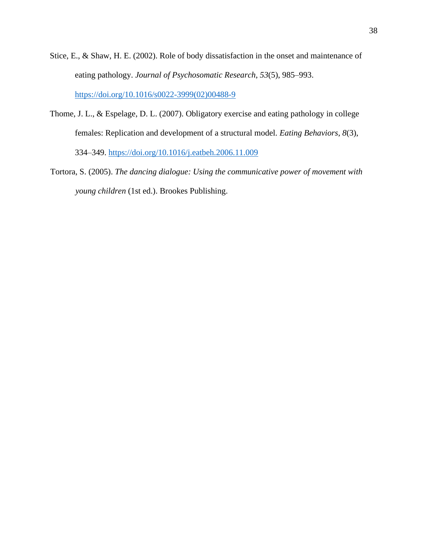- Stice, E., & Shaw, H. E. (2002). Role of body dissatisfaction in the onset and maintenance of eating pathology. *Journal of Psychosomatic Research*, *53*(5), 985–993. [https://doi.org/10.1016/s0022-3999\(02\)00488-9](https://doi.org/10.1016/s0022-3999(02)00488-9)
- Thome, J. L., & Espelage, D. L. (2007). Obligatory exercise and eating pathology in college females: Replication and development of a structural model. *Eating Behaviors*, *8*(3), 334–349.<https://doi.org/10.1016/j.eatbeh.2006.11.009>
- Tortora, S. (2005). *The dancing dialogue: Using the communicative power of movement with young children* (1st ed.). Brookes Publishing.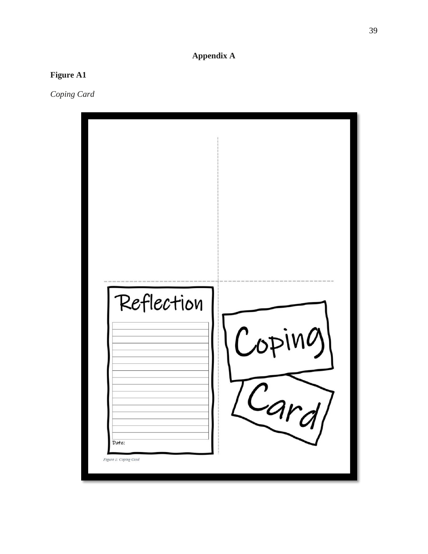## **Appendix A**

#### **Figure A 1**

*Coping Card*

| Reflection<br>Date:<br>Figure 1: Coping Card | Coping |
|----------------------------------------------|--------|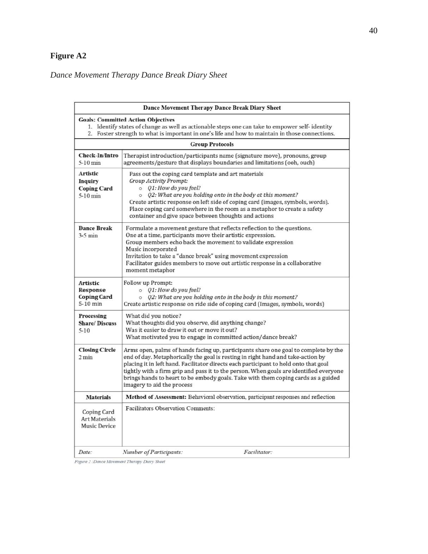## **Figure A2**

## *Dance Movement Therapy Dance Break Diary Sheet*

| Dance Movement Therapy Dance Break Diary Sheet                                                                                                                                                                                                 |                                                                                                                                                                                                                                                                                                                                                                                                                                                                             |
|------------------------------------------------------------------------------------------------------------------------------------------------------------------------------------------------------------------------------------------------|-----------------------------------------------------------------------------------------------------------------------------------------------------------------------------------------------------------------------------------------------------------------------------------------------------------------------------------------------------------------------------------------------------------------------------------------------------------------------------|
| <b>Goals: Committed Action Objectives</b><br>1. Identify states of change as well as actionable steps one can take to empower self-identity<br>2. Foster strength to what is important in one's life and how to maintain in those connections. |                                                                                                                                                                                                                                                                                                                                                                                                                                                                             |
| <b>Group Protocols</b>                                                                                                                                                                                                                         |                                                                                                                                                                                                                                                                                                                                                                                                                                                                             |
| Check-In/Intro<br>$5-10$ min                                                                                                                                                                                                                   | Therapist introduction/participants name (signature move), pronouns, group<br>agreements/gesture that displays boundaries and limitations (ooh, ouch)                                                                                                                                                                                                                                                                                                                       |
| Artistic<br>Inquiry<br><b>Coping Card</b><br>$5-10$ min                                                                                                                                                                                        | Pass out the coping card template and art materials<br><b>Group Activity Prompt:</b><br>$O$ 01: How do you feel?<br>o Q2: What are you holding onto in the body at this moment?<br>Create artistic response on left side of coping card (images, symbols, words).<br>Place coping card somewhere in the room as a metaphor to create a safety<br>container and give space between thoughts and actions                                                                      |
| <b>Dance Break</b><br>$3-5$ min                                                                                                                                                                                                                | Formulate a movement gesture that reflects reflection to the questions.<br>One at a time, participants move their artistic expression.<br>Group members echo back the movement to validate expression<br>Music incorporated<br>Invitation to take a "dance break" using movement expression<br>Facilitator guides members to move out artistic response in a collaborative<br>moment metaphor                                                                               |
| <b>Artistic</b><br>Response<br><b>Coping Card</b><br>5-10 min                                                                                                                                                                                  | <b>Follow up Prompt:</b><br>$\circ$ 01: How do you feel?<br>$\circ$ Q2: What are you holding onto in the body in this moment?<br>Create artistic response on ride side of coping card (Images, symbols, words)                                                                                                                                                                                                                                                              |
| Processing<br><b>Share/Discuss</b><br>$5 - 10$                                                                                                                                                                                                 | What did you notice?<br>What thoughts did you observe, did anything change?<br>Was it easier to draw it out or move it out?<br>What motivated you to engage in committed action/dance break?                                                                                                                                                                                                                                                                                |
| <b>Closing Circle</b><br>$2 \text{ min}$                                                                                                                                                                                                       | Arms open, palms of hands facing up, participants share one goal to complete by the<br>end of day. Metaphorically the goal is resting in right hand and take-action by<br>placing it in left hand. Facilitator directs each participant to hold onto that goal<br>tightly with a firm grip and pass it to the person. When goals are identified everyone<br>brings hands to heart to be embody goals. Take with them coping cards as a guided<br>imagery to aid the process |
| <b>Materials</b>                                                                                                                                                                                                                               | Method of Assessment: Behavioral observation, participant responses and reflection                                                                                                                                                                                                                                                                                                                                                                                          |
| Coping Card<br><b>Art Materials</b><br><b>Music Device</b>                                                                                                                                                                                     | Facilitators Observation Comments:                                                                                                                                                                                                                                                                                                                                                                                                                                          |
| Date:                                                                                                                                                                                                                                          | Facilitator:<br>Number of Participants:                                                                                                                                                                                                                                                                                                                                                                                                                                     |

Figure 2: Dance Movement Therapy Diary Sheet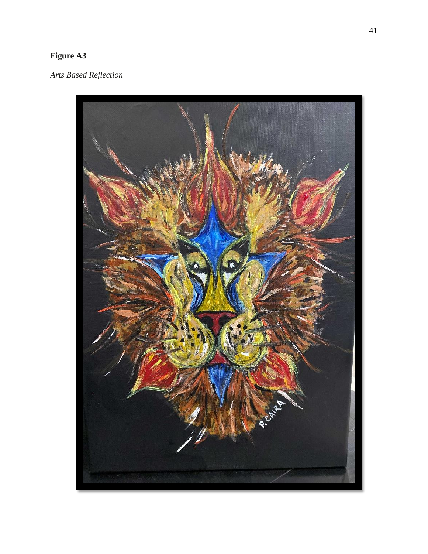### **Figure A 3**

*Arts Based Reflection*